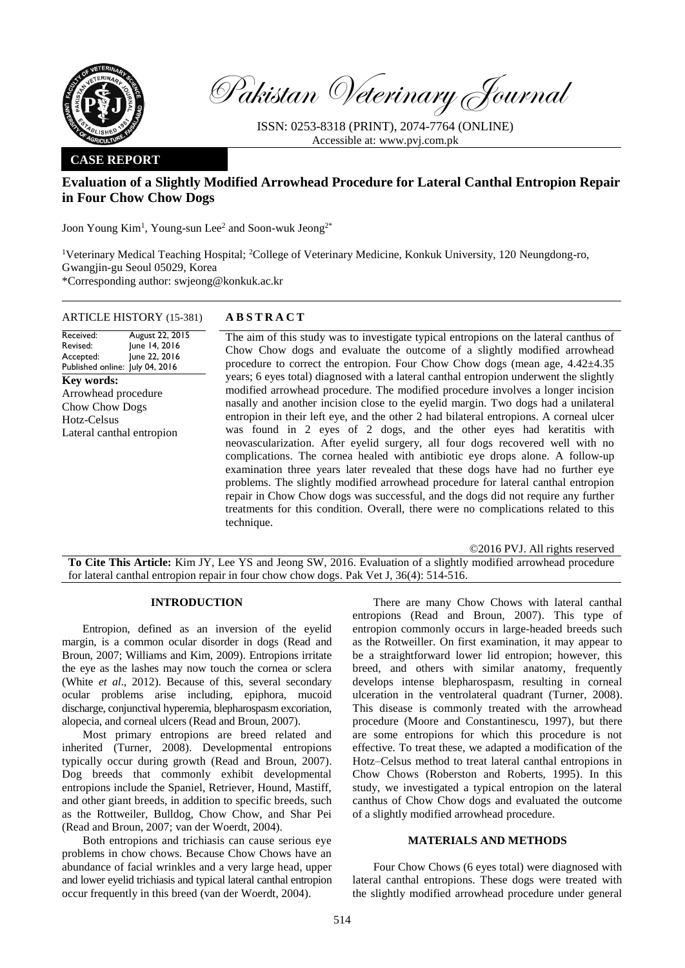

Pakistan Veterinary Journal

ISSN: 0253-8318 (PRINT), 2074-7764 (ONLINE) Accessible at: [www.pvj.com.pk](http://www.pvj.com.pk/)

## **CASE REPORT**

# **Evaluation of a Slightly Modified Arrowhead Procedure for Lateral Canthal Entropion Repair in Four Chow Chow Dogs**

Joon Young Kim<sup>1</sup>, Young-sun Lee<sup>2</sup> and Soon-wuk Jeong<sup>2\*</sup>

<sup>1</sup>Veterinary Medical Teaching Hospital; <sup>2</sup>College of Veterinary Medicine, Konkuk University, 120 Neungdong-ro, Gwangjin-gu Seoul 05029, Korea \*Corresponding author: swjeong@konkuk.ac.kr

### ARTICLE HISTORY (15-381) **A B S T R A C T**

Received: Revised: Accepted: Published online: July 04, 2016 August 22, 2015 June 14, 2016 June 22, 2016 **Key words:**  Arrowhead procedure Chow Chow Dogs Hotz-Celsus Lateral canthal entropion

The aim of this study was to investigate typical entropions on the lateral canthus of Chow Chow dogs and evaluate the outcome of a slightly modified arrowhead procedure to correct the entropion. Four Chow Chow dogs (mean age,  $4.42\pm4.35$ ) years; 6 eyes total) diagnosed with a lateral canthal entropion underwent the slightly modified arrowhead procedure. The modified procedure involves a longer incision nasally and another incision close to the eyelid margin. Two dogs had a unilateral entropion in their left eye, and the other 2 had bilateral entropions. A corneal ulcer was found in 2 eyes of 2 dogs, and the other eyes had keratitis with neovascularization. After eyelid surgery, all four dogs recovered well with no complications. The cornea healed with antibiotic eye drops alone. A follow-up examination three years later revealed that these dogs have had no further eye problems. The slightly modified arrowhead procedure for lateral canthal entropion repair in Chow Chow dogs was successful, and the dogs did not require any further treatments for this condition. Overall, there were no complications related to this technique.

©2016 PVJ. All rights reserved

**To Cite This Article:** Kim JY, Lee YS and Jeong SW, 2016. Evaluation of a slightly modified arrowhead procedure for lateral canthal entropion repair in four chow chow dogs. Pak Vet J, 36(4): 514-516.

#### **INTRODUCTION**

Entropion, defined as an inversion of the eyelid margin, is a common ocular disorder in dogs (Read and Broun, 2007; Williams and Kim, 2009). Entropions irritate the eye as the lashes may now touch the cornea or sclera (White *et al*., 2012). Because of this, several secondary ocular problems arise including, epiphora, mucoid discharge, conjunctival hyperemia, blepharospasm excoriation, alopecia, and corneal ulcers (Read and Broun, 2007).

Most primary entropions are breed related and inherited (Turner, 2008). Developmental entropions typically occur during growth (Read and Broun, 2007). Dog breeds that commonly exhibit developmental entropions include the Spaniel, Retriever, Hound, Mastiff, and other giant breeds, in addition to specific breeds, such as the Rottweiler, Bulldog, Chow Chow, and Shar Pei (Read and Broun, 2007; van der Woerdt, 2004).

Both entropions and trichiasis can cause serious eye problems in chow chows. Because Chow Chows have an abundance of facial wrinkles and a very large head, upper and lower eyelid trichiasis and typical lateral canthal entropion occur frequently in this breed (van der Woerdt, 2004).

There are many Chow Chows with lateral canthal entropions (Read and Broun, 2007). This type of entropion commonly occurs in large-headed breeds such as the Rotweiller. On first examination, it may appear to be a straightforward lower lid entropion; however, this breed, and others with similar anatomy, frequently develops intense blepharospasm, resulting in corneal ulceration in the ventrolateral quadrant (Turner, 2008). This disease is commonly treated with the arrowhead procedure (Moore and Constantinescu, 1997), but there are some entropions for which this procedure is not effective. To treat these, we adapted a modification of the Hotz–Celsus method to treat lateral canthal entropions in Chow Chows (Roberston and Roberts, 1995). In this study, we investigated a typical entropion on the lateral canthus of Chow Chow dogs and evaluated the outcome of a slightly modified arrowhead procedure.

#### **MATERIALS AND METHODS**

Four Chow Chows (6 eyes total) were diagnosed with lateral canthal entropions. These dogs were treated with the slightly modified arrowhead procedure under general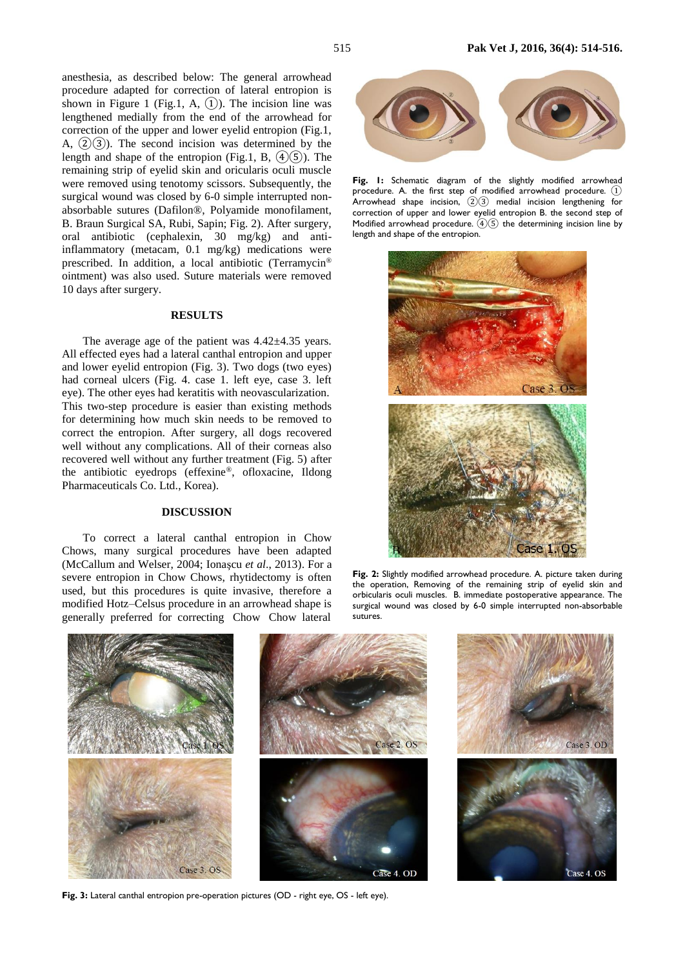anesthesia, as described below: The general arrowhead procedure adapted for correction of lateral entropion is shown in Figure 1 (Fig.1, A,  $(1)$ ). The incision line was lengthened medially from the end of the arrowhead for correction of the upper and lower eyelid entropion (Fig.1, A,  $(2)(3)$ ). The second incision was determined by the length and shape of the entropion (Fig.1, B,  $\left(4\right)\left(5\right)$ ). The remaining strip of eyelid skin and oricularis oculi muscle were removed using tenotomy scissors. Subsequently, the surgical wound was closed by 6-0 simple interrupted nonabsorbable sutures (Dafilon®, Polyamide monofilament, B. Braun Surgical SA, Rubi, Sapin; Fig. 2). After surgery, oral antibiotic (cephalexin, 30 mg/kg) and antiinflammatory (metacam, 0.1 mg/kg) medications were prescribed. In addition, a local antibiotic (Terramycin® ointment) was also used. Suture materials were removed 10 days after surgery.

#### **RESULTS**

The average age of the patient was  $4.42\pm4.35$  years. All effected eyes had a lateral canthal entropion and upper and lower eyelid entropion (Fig. 3). Two dogs (two eyes) had corneal ulcers (Fig. 4. case 1. left eye, case 3. left eye). The other eyes had keratitis with neovascularization. This two-step procedure is easier than existing methods for determining how much skin needs to be removed to correct the entropion. After surgery, all dogs recovered well without any complications. All of their corneas also recovered well without any further treatment (Fig. 5) after the antibiotic eyedrops (effexine®, ofloxacine, Ildong Pharmaceuticals Co. Ltd., Korea).

#### **DISCUSSION**

To correct a lateral canthal entropion in Chow Chows, many surgical procedures have been adapted (McCallum and Welser, 2004; Ionaşcu *et al*., 2013). For a severe entropion in Chow Chows, rhytidectomy is often used, but this procedures is quite invasive, therefore a modified Hotz–Celsus procedure in an arrowhead shape is generally preferred for correcting Chow Chow lateral



Fig. I: Schematic diagram of the slightly modified arrowhead procedure. A. the first step of modified arrowhead procedure. ① Arrowhead shape incision,  $(2)(3)$  medial incision lengthening for correction of upper and lower eyelid entropion B. the second step of Modified arrowhead procedure. ④⑤ the determining incision line by length and shape of the entropion.



**Fig. 2:** Slightly modified arrowhead procedure. A. picture taken during the operation, Removing of the remaining strip of eyelid skin and orbicularis oculi muscles. B. immediate postoperative appearance. The surgical wound was closed by 6-0 simple interrupted non-absorbable sutures.



Fig. 3: Lateral canthal entropion pre-operation pictures (OD - right eye, OS - left eye).